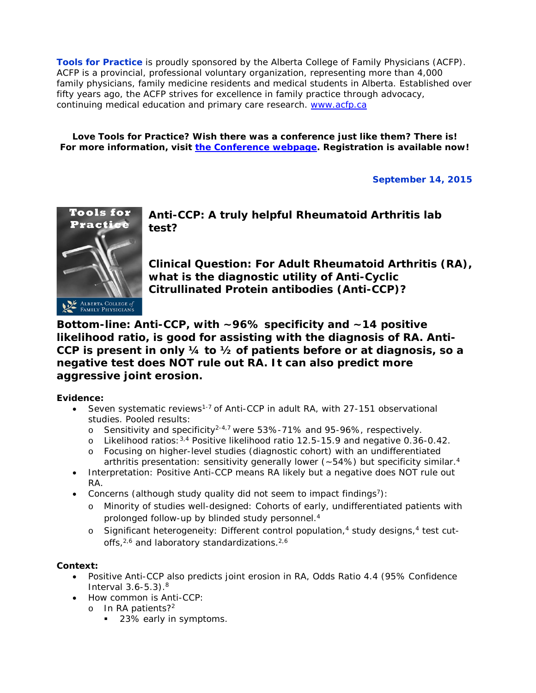**Tools for Practice** is proudly sponsored by the Alberta College of Family Physicians (ACFP). ACFP is a provincial, professional voluntary organization, representing more than 4,000 family physicians, family medicine residents and medical students in Alberta. Established over fifty years ago, the ACFP strives for excellence in family practice through advocacy, continuing medical education and primary care research. [www.acfp.ca](http://r20.rs6.net/tn.jsp?llr=j5jhyecab&et=1106581339886&s=0&e=0018HsPjNJAVitI8Ray9i14VUEPh8QgRLpopT1hs0e5ZuwGPqGnH9-N6tL_UP5LTij9cP43lHBva_IRi6MMeFppG6SamR3ro1dGo2mwyQcV95k=)

**Love Tools for Practice? Wish there was a conference just like them? There is! For more information, visit [the Conference webpage.](http://www.bit.ly/acfppeip) Registration is available now!**

# **September 14, 2015**



**Anti-CCP: A truly helpful Rheumatoid Arthritis lab test?** 

**Clinical Question: For Adult Rheumatoid Arthritis (RA), what is the diagnostic utility of Anti-Cyclic Citrullinated Protein antibodies (Anti-CCP)?**

**Bottom-line: Anti-CCP, with ~96% specificity and ~14 positive likelihood ratio, is good for assisting with the diagnosis of RA. Anti-CCP is present in only ¼ to ½ of patients before or at diagnosis, so a negative test does NOT rule out RA. It can also predict more aggressive joint erosion.** 

# **Evidence:**

- Seven systematic reviews<sup>1-7</sup> of Anti-CCP in adult RA, with 27-151 observational studies. Pooled results:
	- o Sensitivity and specificity<sup>2-4,7</sup> were 53%-71% and 95-96%, respectively.
	- o Likelihood ratios:  $3.4$  Positive likelihood ratio 12.5-15.9 and negative 0.36-0.42.
	- o Focusing on higher-level studies (diagnostic cohort) with an undifferentiated arthritis presentation: sensitivity generally lower ( $\sim$ 54%) but specificity similar.<sup>4</sup>
- Interpretation: Positive Anti-CCP means RA likely but a negative does NOT rule out RA.
- Concerns (although study quality did not seem to impact findings<sup>7</sup>):
	- o Minority of studies well-designed: Cohorts of early, undifferentiated patients with prolonged follow-up by blinded study personnel.4
	- $\circ$  Significant heterogeneity: Different control population,<sup>4</sup> study designs,<sup>4</sup> test cutoffs,<sup>2,6</sup> and laboratory standardizations.<sup>2,6</sup>

## **Context:**

- Positive Anti-CCP also predicts joint erosion in RA, Odds Ratio 4.4 (95% Confidence Interval  $3.6 - 5.3$ ).<sup>8</sup>
- How common is Anti-CCP:
	- o In RA patients?2
		- 23% early in symptoms.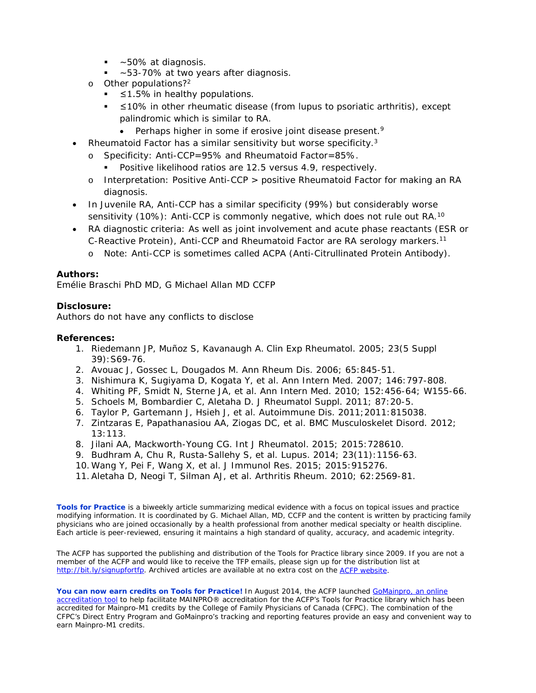- ~50% at diagnosis.
- ~53-70% at two years after diagnosis.
- o Other populations?2
	- $\leq$  1.5% in healthy populations.
	- ≤10% in other rheumatic disease (from lupus to psoriatic arthritis), except palindromic which is similar to RA.
		- Perhaps higher in some if erosive joint disease present. $9$
- Rheumatoid Factor has a similar sensitivity but worse specificity.3
	- o Specificity: Anti-CCP=95% and Rheumatoid Factor=85%.
		- Positive likelihood ratios are 12.5 versus 4.9, respectively.
	- o Interpretation: Positive Anti-CCP > positive Rheumatoid Factor for making an RA diagnosis.
- In Juvenile RA, Anti-CCP has a similar specificity (99%) but considerably worse sensitivity (10%): Anti-CCP is commonly negative, which does not rule out RA.<sup>10</sup>
- RA diagnostic criteria: As well as joint involvement and acute phase reactants (ESR or C-Reactive Protein), Anti-CCP and Rheumatoid Factor are RA serology markers.11
	- o Note: Anti-CCP is sometimes called ACPA (Anti-Citrullinated Protein Antibody).

### **Authors:**

Emélie Braschi PhD MD, G Michael Allan MD CCFP

### **Disclosure:**

Authors do not have any conflicts to disclose

### **References:**

- 1. Riedemann JP, Muñoz S, Kavanaugh A. Clin Exp Rheumatol. 2005; 23(5 Suppl 39):S69-76.
- 2. Avouac J, Gossec L, Dougados M. Ann Rheum Dis. 2006; 65:845-51.
- 3. Nishimura K, Sugiyama D, Kogata Y, *et al*. Ann Intern Med. 2007; 146:797-808.
- 4. Whiting PF, Smidt N, Sterne JA, *et al*. Ann Intern Med. 2010; 152:456-64; W155-66.
- 5. Schoels M, Bombardier C, Aletaha D. J Rheumatol Suppl. 2011; 87:20-5.
- 6. Taylor P, Gartemann J, Hsieh J, *et al*. Autoimmune Dis. 2011;2011:815038.
- 7. Zintzaras E, Papathanasiou AA, Ziogas DC, *et al*. BMC Musculoskelet Disord. 2012; 13:113.
- 8. Jilani AA, Mackworth-Young CG. Int J Rheumatol. 2015; 2015:728610.
- 9. Budhram A, Chu R, Rusta-Sallehy S, *et al*. Lupus. 2014; 23(11):1156-63.
- 10. Wang Y, Pei F, Wang X, *et al*. J Immunol Res. 2015; 2015:915276.
- 11.Aletaha D, Neogi T, Silman AJ, *et al*. Arthritis Rheum. 2010; 62:2569-81.

**Tools for Practice** is a biweekly article summarizing medical evidence with a focus on topical issues and practice modifying information. It is coordinated by G. Michael Allan, MD, CCFP and the content is written by practicing family physicians who are joined occasionally by a health professional from another medical specialty or health discipline. Each article is peer-reviewed, ensuring it maintains a high standard of quality, accuracy, and academic integrity.

The ACFP has supported the publishing and distribution of the Tools for Practice library since 2009. If you are not a member of the ACFP and would like to receive the TFP emails, please sign up for the distribution list at [http://bit.ly/signupfortfp.](http://bit.ly/signupfortfp) Archived articles are available at no extra cost on the [ACFP website.](http://www.acfp.ca/tools-for-practice/)

You can now earn credits on Tools for Practice! In August 2014, the ACFP launched **GoMainpro**, an online [accreditation tool](http://www.acfp.ca/gomainpro/) to help facilitate MAINPRO® accreditation for the ACFP's Tools for Practice library which has been accredited for Mainpro-M1 credits by the College of Family Physicians of Canada (CFPC). The combination of the CFPC's Direct Entry Program and GoMainpro's tracking and reporting features provide an easy and convenient way to earn Mainpro-M1 credits.